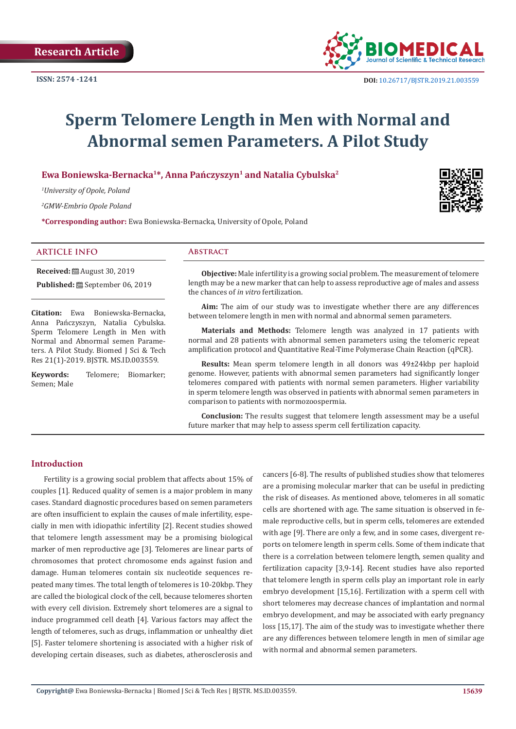

# **Sperm Telomere Length in Men with Normal and Abnormal semen Parameters. A Pilot Study**

# **Ewa Boniewska-Bernacka1\*, Anna Pańczyszyn1 and Natalia Cybulska2**

*1 University of Opole, Poland*

*2 GMW-Embrio Opole Poland*

**\*Corresponding author:** Ewa Boniewska-Bernacka, University of Opole, Poland

#### **ARTICLE INFO Abstract**

**Received:** August 30, 2019

**Published:** September 06, 2019

**Citation:** Ewa Boniewska-Bernacka, Anna Pańczyszyn, Natalia Cybulska. Sperm Telomere Length in Men with Normal and Abnormal semen Parameters. A Pilot Study. Biomed J Sci & Tech Res 21(1)-2019. BJSTR. MS.ID.003559.

**Keywords:** Telomere; Biomarker; Semen; Male

**Objective:** Male infertility is a growing social problem. The measurement of telomere length may be a new marker that can help to assess reproductive age of males and assess the chances of *in vitro* fertilization.

**Aim:** The aim of our study was to investigate whether there are any differences between telomere length in men with normal and abnormal semen parameters.

**Materials and Methods:** Telomere length was analyzed in 17 patients with normal and 28 patients with abnormal semen parameters using the telomeric repeat amplification protocol and Quantitative Real-Time Polymerase Chain Reaction (qPCR).

**Results:** Mean sperm telomere length in all donors was 49±24kbp per haploid genome. However, patients with abnormal semen parameters had significantly longer telomeres compared with patients with normal semen parameters. Higher variability in sperm telomere length was observed in patients with abnormal semen parameters in comparison to patients with normozoospermia.

**Conclusion:** The results suggest that telomere length assessment may be a useful future marker that may help to assess sperm cell fertilization capacity.

#### **Introduction**

Fertility is a growing social problem that affects about 15% of couples [1]. Reduced quality of semen is a major problem in many cases. Standard diagnostic procedures based on semen parameters are often insufficient to explain the causes of male infertility, especially in men with idiopathic infertility [2]. Recent studies showed that telomere length assessment may be a promising biological marker of men reproductive age [3]. Telomeres are linear parts of chromosomes that protect chromosome ends against fusion and damage. Human telomeres contain six nucleotide sequences repeated many times. The total length of telomeres is 10-20kbp. They are called the biological clock of the cell, because telomeres shorten with every cell division. Extremely short telomeres are a signal to induce programmed cell death [4]. Various factors may affect the length of telomeres, such as drugs, inflammation or unhealthy diet [5]. Faster telomere shortening is associated with a higher risk of developing certain diseases, such as diabetes, atherosclerosis and

cancers [6-8]. The results of published studies show that telomeres are a promising molecular marker that can be useful in predicting the risk of diseases. As mentioned above, telomeres in all somatic cells are shortened with age. The same situation is observed in female reproductive cells, but in sperm cells, telomeres are extended with age [9]. There are only a few, and in some cases, divergent reports on telomere length in sperm cells. Some of them indicate that there is a correlation between telomere length, semen quality and fertilization capacity [3,9-14]. Recent studies have also reported that telomere length in sperm cells play an important role in early embryo development [15,16]. Fertilization with a sperm cell with short telomeres may decrease chances of implantation and normal embryo development, and may be associated with early pregnancy loss [15,17]. The aim of the study was to investigate whether there are any differences between telomere length in men of similar age with normal and abnormal semen parameters.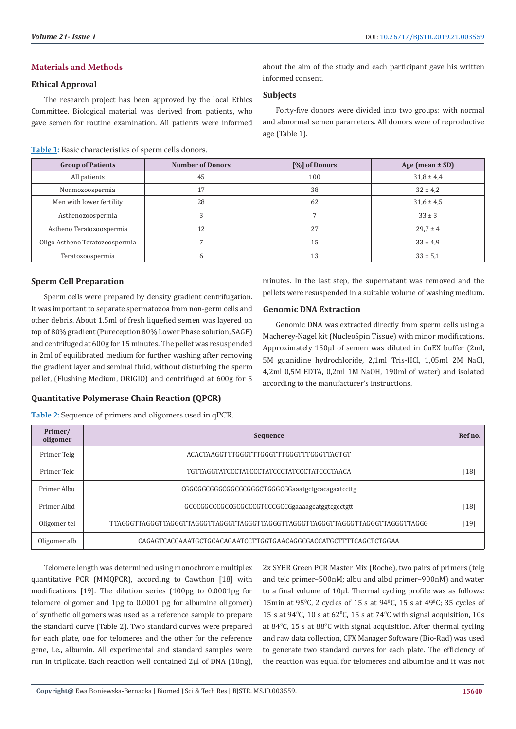# **Materials and Methods**

#### **Ethical Approval**

The research project has been approved by the local Ethics Committee. Biological material was derived from patients, who gave semen for routine examination. All patients were informed

#### **Table 1:** Basic characteristics of sperm cells donors.

about the aim of the study and each participant gave his written informed consent.

### **Subjects**

Forty-five donors were divided into two groups: with normal and abnormal semen parameters. All donors were of reproductive age (Table 1).

| <b>Group of Patients</b>       | <b>Number of Donors</b> | [%] of Donors | Age (mean $\pm$ SD) |
|--------------------------------|-------------------------|---------------|---------------------|
| All patients                   | 45                      | 100           | $31.8 \pm 4.4$      |
| Normozoospermia                | 17                      | 38            | $32 \pm 4.2$        |
| Men with lower fertility       | 28                      | 62            | $31,6 \pm 4,5$      |
| Asthenozoospermia              | 3                       |               | $33 \pm 3$          |
| Astheno Teratozoospermia       | 12                      | 27            | $29.7 \pm 4$        |
| Oligo Astheno Teratozoospermia |                         | 15            | $33 \pm 4.9$        |
| Teratozoospermia               | h                       | 13            | $33 \pm 5.1$        |

# **Sperm Cell Preparation**

Sperm cells were prepared by density gradient centrifugation. It was important to separate spermatozoa from non-germ cells and other debris. About 1.5ml of fresh liquefied semen was layered on top of 80% gradient (Pureception 80% Lower Phase solution, SAGE) and centrifuged at 600g for 15 minutes. The pellet was resuspended in 2ml of equilibrated medium for further washing after removing the gradient layer and seminal fluid, without disturbing the sperm pellet, (Flushing Medium, ORIGIO) and centrifuged at 600g for 5

### **Quantitative Polymerase Chain Reaction (QPCR)**

**Table 2:** Sequence of primers and oligomers used in qPCR.

minutes. In the last step, the supernatant was removed and the pellets were resuspended in a suitable volume of washing medium.

## **Genomic DNA Extraction**

Genomic DNA was extracted directly from sperm cells using a Macherey-Nagel kit (NucleoSpin Tissue) with minor modifications. Approximately 150µl of semen was diluted in GuEX buffer (2ml, 5M guanidine hydrochloride, 2,1ml Tris-HCl, 1,05ml 2M NaCl, 4,2ml 0,5M EDTA, 0,2ml 1M NaOH, 190ml of water) and isolated according to the manufacturer's instructions.

| Primer/<br>oligomer | Sequence                                                                       |        |
|---------------------|--------------------------------------------------------------------------------|--------|
| Primer Telg         | ACACTAAGGTTTGGGTTTGGGTTTGGGTTTGGGTTAGTGT                                       |        |
| Primer Telc         | TGTTAGGTATCCCTATCCCTATCCCTATCCCTATCCCTAACA                                     | $[18]$ |
| Primer Albu         | CGGCGGCGGCGGCGCGGGCTGGGCGGaaatgctgcacagaatccttg                                |        |
| Primer Albd         | GCCCGGCCCGCGCGCCCGTCCCGCCGgaaaagcatggtcgcctgtt                                 | $[18]$ |
| Oligomer tel        | TTAGGGTTAGGGTTAGGGTTAGGGTTAGGGTTAGGGTTAGGGTTAGGGTTAGGGTTAGGGTTAGGGTTAGGGTTAGGG | [19]   |
| Oligomer alb        | CAGAGTCACCAAATGCTGCACAGAATCCTTGGTGAACAGGCGACCATGCTTTTCAGCTCTGGAA               |        |

Telomere length was determined using monochrome multiplex quantitative PCR (MMQPCR), according to Cawthon [18] with modifications [19]. The dilution series (100pg to 0.0001pg for telomere oligomer and 1pg to 0.0001 pg for albumine oligomer) of synthetic oligomers was used as a reference sample to prepare the standard curve (Table 2). Two standard curves were prepared for each plate, one for telomeres and the other for the reference gene, i.e., albumin. All experimental and standard samples were run in triplicate. Each reaction well contained 2µl of DNA (10ng),

2x SYBR Green PCR Master Mix (Roche), two pairs of primers (telg and telc primer–500nM; albu and albd primer–900nM) and water to a final volume of 10µl. Thermal cycling profile was as follows: 15min at 95<sup>°</sup>C, 2 cycles of 15 s at 94<sup>°</sup>C, 15 s at 49<sup>°</sup>C; 35 cycles of 15 s at  $94^{\circ}$ C, 10 s at  $62^{\circ}$ C, 15 s at  $74^{\circ}$ C with signal acquisition, 10s at 84 $\degree$ C, 15 s at 88 $\degree$ C with signal acquisition. After thermal cycling and raw data collection, CFX Manager Software (Bio-Rad) was used to generate two standard curves for each plate. The efficiency of the reaction was equal for telomeres and albumine and it was not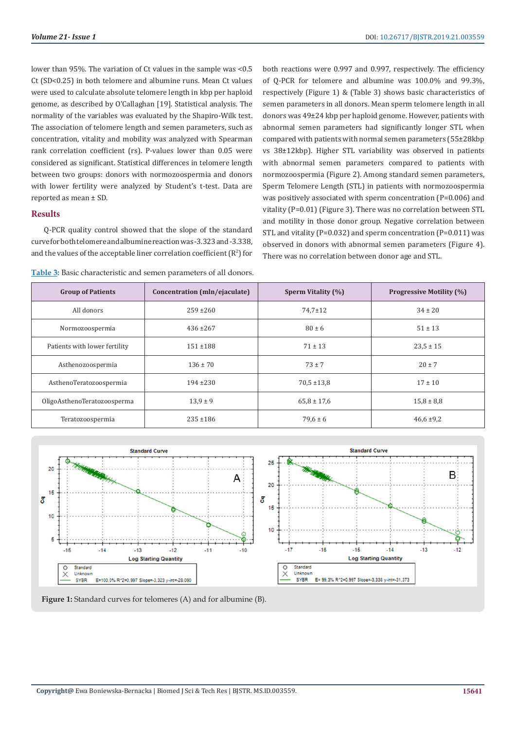lower than 95%. The variation of Ct values in the sample was <0.5 Ct (SD<0.25) in both telomere and albumine runs. Mean Ct values were used to calculate absolute telomere length in kbp per haploid genome, as described by O'Callaghan [19]. Statistical analysis. The normality of the variables was evaluated by the Shapiro-Wilk test. The association of telomere length and semen parameters, such as concentration, vitality and mobility was analyzed with Spearman rank correlation coefficient (rs). P-values lower than 0.05 were considered as significant. Statistical differences in telomere length between two groups: donors with normozoospermia and donors with lower fertility were analyzed by Student's t-test. Data are reported as mean ± SD.

#### **Results**

Q-PCR quality control showed that the slope of the standard curve for both telomere and albumine reaction was -3.323 and -3.338, and the values of the acceptable liner correlation coefficient  $(R^2)$  for

**Table 3:** Basic characteristic and semen parameters of all donors.

both reactions were 0.997 and 0.997, respectively. The efficiency of Q-PCR for telomere and albumine was 100.0% and 99.3%, respectively (Figure 1) & (Table 3) shows basic characteristics of semen parameters in all donors. Mean sperm telomere length in all donors was 49±24 kbp per haploid genome. However, patients with abnormal semen parameters had significantly longer STL when compared with patients with normal semen parameters (55±28kbp vs 38±12kbp). Higher STL variability was observed in patients with abnormal semen parameters compared to patients with normozoospermia (Figure 2). Among standard semen parameters, Sperm Telomere Length (STL) in patients with normozoospermia was positively associated with sperm concentration (P=0.006) and vitality (P=0.01) (Figure 3). There was no correlation between STL and motility in those donor group. Negative correlation between STL and vitality (P=0.032) and sperm concentration (P=0.011) was observed in donors with abnormal semen parameters (Figure 4). There was no correlation between donor age and STL.

| <b>Group of Patients</b>      | Concentration (mln/ejaculate) | Sperm Vitality (%) | <b>Progressive Motility (%)</b> |
|-------------------------------|-------------------------------|--------------------|---------------------------------|
| All donors                    | $259 \pm 260$                 | $74.7 \pm 12$      | $34 \pm 20$                     |
| Normozoospermia               | $436 \pm 267$                 | $80 \pm 6$         | $51 \pm 13$                     |
| Patients with lower fertility | $151 + 188$                   | $71 \pm 13$        | $23.5 \pm 15$                   |
| Asthenozoospermia             | $136 \pm 70$                  | $73 \pm 7$         | $20 \pm 7$                      |
| AsthenoTeratozoospermia       | $194 + 230$                   | $70.5 \pm 13.8$    | $17 \pm 10$                     |
| OligoAsthenoTeratozoosperma   | $13.9 \pm 9$                  | $65.8 \pm 17.6$    | $15,8 \pm 8,8$                  |
| Teratozoospermia              | $235 + 186$                   | $79.6 \pm 6$       | $46,6 \pm 9,2$                  |



**Figure 1:** Standard curves for telomeres (A) and for albumine (B).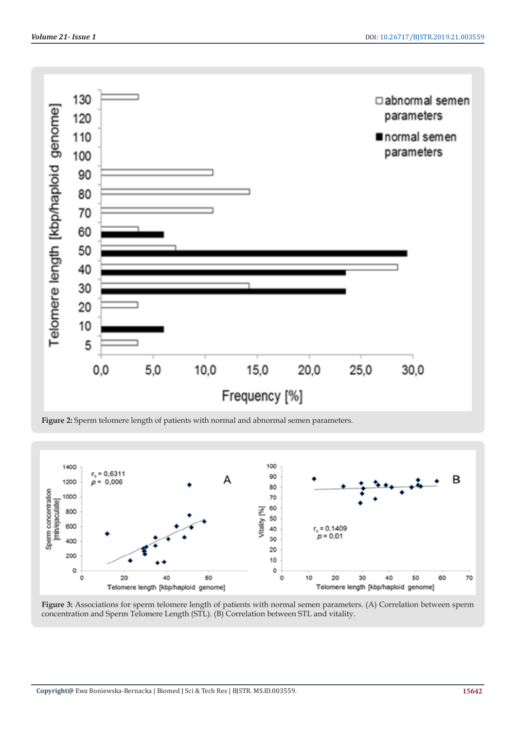

**Figure 2:** Sperm telomere length of patients with normal and abnormal semen parameters.



**Figure 3:** Associations for sperm telomere length of patients with normal semen parameters. (A) Correlation between sperm concentration and Sperm Telomere Length (STL). (B) Correlation between STL and vitality.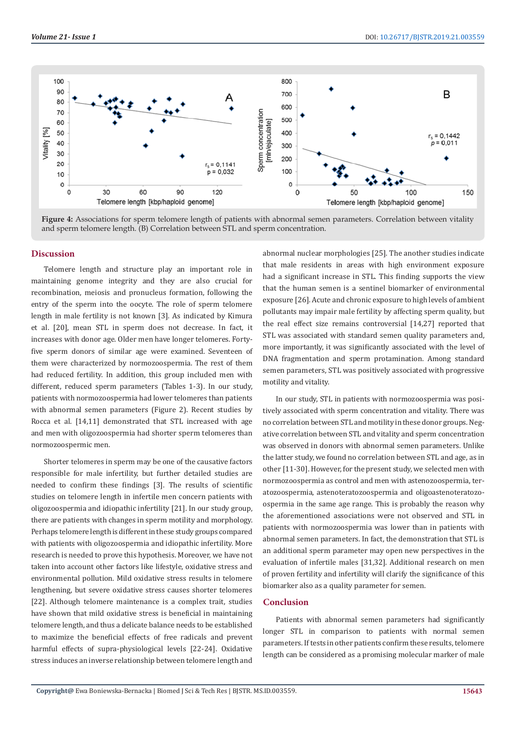

**Figure 4:** Associations for sperm telomere length of patients with abnormal semen parameters. Correlation between vitality and sperm telomere length. (B) Correlation between STL and sperm concentration.

#### **Discussion**

Telomere length and structure play an important role in maintaining genome integrity and they are also crucial for recombination, meiosis and pronucleus formation, following the entry of the sperm into the oocyte. The role of sperm telomere length in male fertility is not known [3]. As indicated by Kimura et al. [20], mean STL in sperm does not decrease. In fact, it increases with donor age. Older men have longer telomeres. Fortyfive sperm donors of similar age were examined. Seventeen of them were characterized by normozoospermia. The rest of them had reduced fertility. In addition, this group included men with different, reduced sperm parameters (Tables 1-3). In our study, patients with normozoospermia had lower telomeres than patients with abnormal semen parameters (Figure 2). Recent studies by Rocca et al. [14,11] demonstrated that STL increased with age and men with oligozoospermia had shorter sperm telomeres than normozoospermic men.

Shorter telomeres in sperm may be one of the causative factors responsible for male infertility, but further detailed studies are needed to confirm these findings [3]. The results of scientific studies on telomere length in infertile men concern patients with oligozoospermia and idiopathic infertility [21]. In our study group, there are patients with changes in sperm motility and morphology. Perhaps telomere length is different in these study groups compared with patients with oligozoospermia and idiopathic infertility. More research is needed to prove this hypothesis. Moreover, we have not taken into account other factors like lifestyle, oxidative stress and environmental pollution. Mild oxidative stress results in telomere lengthening, but severe oxidative stress causes shorter telomeres [22]. Although telomere maintenance is a complex trait, studies have shown that mild oxidative stress is beneficial in maintaining telomere length, and thus a delicate balance needs to be established to maximize the beneficial effects of free radicals and prevent harmful effects of supra-physiological levels [22-24]. Oxidative stress induces an inverse relationship between telomere length and

abnormal nuclear morphologies [25]. The another studies indicate that male residents in areas with high environment exposure had a significant increase in STL. This finding supports the view that the human semen is a sentinel biomarker of environmental exposure [26]. Acute and chronic exposure to high levels of ambient pollutants may impair male fertility by affecting sperm quality, but the real effect size remains controversial [14,27] reported that STL was associated with standard semen quality parameters and, more importantly, it was significantly associated with the level of DNA fragmentation and sperm protamination. Among standard semen parameters, STL was positively associated with progressive motility and vitality.

In our study, STL in patients with normozoospermia was positively associated with sperm concentration and vitality. There was no correlation between STL and motility in these donor groups. Negative correlation between STL and vitality and sperm concentration was observed in donors with abnormal semen parameters. Unlike the latter study, we found no correlation between STL and age, as in other [11-30]. However, for the present study, we selected men with normozoospermia as control and men with astenozoospermia, teratozoospermia, astenoteratozoospermia and oligoastenoteratozoospermia in the same age range. This is probably the reason why the aforementioned associations were not observed and STL in patients with normozoospermia was lower than in patients with abnormal semen parameters. In fact, the demonstration that STL is an additional sperm parameter may open new perspectives in the evaluation of infertile males [31,32]. Additional research on men of proven fertility and infertility will clarify the significance of this biomarker also as a quality parameter for semen.

## **Conclusion**

Patients with abnormal semen parameters had significantly longer STL in comparison to patients with normal semen parameters. If tests in other patients confirm these results, telomere length can be considered as a promising molecular marker of male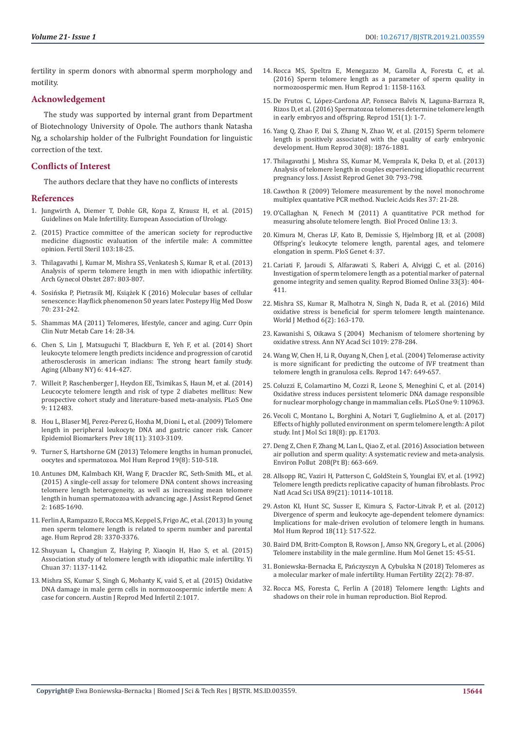fertility in sperm donors with abnormal sperm morphology and motility.

#### **Acknowledgement**

The study was supported by internal grant from Department of Biotechnology University of Opole. The authors thank Natasha Ng, a scholarship holder of the Fulbright Foundation for linguistic correction of the text.

#### **Conflicts of Interest**

The authors declare that they have no conflicts of interests

#### **References**

- 1. [Jungwirth A, Diemer T, Dohle GR, Kopa Z, Krausz H, et al. \(2015\)](https://uroweb.org/wp-content/uploads/EAU-Guidelines-Male-Infertility-2016-2.pdf)  [Guidelines on Male Infertility. European Association of Urology.](https://uroweb.org/wp-content/uploads/EAU-Guidelines-Male-Infertility-2016-2.pdf)
- 2. [\(2015\) Practice committee of the american society for reproductive](https://www.ncbi.nlm.nih.gov/pubmed/25597249)  [medicine diagnostic evaluation of the infertile male: A committee](https://www.ncbi.nlm.nih.gov/pubmed/25597249)  [opinion. Fertil Steril 103:18-25.](https://www.ncbi.nlm.nih.gov/pubmed/25597249)
- 3. [Thilagavathi J, Kumar M, Mishra SS, Venkatesh S, Kumar R, et al. \(2013\)](https://link.springer.com/article/10.1007/s00404-012-2632-8)  [Analysis of sperm telomere length in men with idiopathic infertility.](https://link.springer.com/article/10.1007/s00404-012-2632-8)  [Arch Gynecol Obstet 287: 803-807.](https://link.springer.com/article/10.1007/s00404-012-2632-8)
- 4. Sosi[ńska P, Pietrasik MJ, Książek K \(2016\) Molecular bases of cellular](https://phmd.pl/api/files/view/116854.pdf)  [senescence: Hayflick phenomenon 50 years later. Postepy Hig Med Dosw](https://phmd.pl/api/files/view/116854.pdf)  [70: 231-242.](https://phmd.pl/api/files/view/116854.pdf)
- 5. [Shammas MA \(2011\) Telomeres, lifestyle, cancer and aging. Curr Opin](https://www.ncbi.nlm.nih.gov/pubmed/21102320)  [Clin Nutr Metab Care 14: 28-34.](https://www.ncbi.nlm.nih.gov/pubmed/21102320)
- 6. [Chen S, Lin J, Matsuguchi T, Blackburn E, Yeh F, et al. \(2014\) Short](https://europepmc.org/abstract/med/24902894)  [leukocyte telomere length predicts incidence and progression of carotid](https://europepmc.org/abstract/med/24902894)  [atherosclerosis in american indians: The strong heart family study.](https://europepmc.org/abstract/med/24902894)  [Aging \(Albany NY\) 6: 414-427.](https://europepmc.org/abstract/med/24902894)
- 7. [Willeit P, Raschenberger J, Heydon EE, Tsimikas S, Haun M, et al. \(2014\)](https://journals.plos.org/plosone/article?id=10.1371/journal.pone.0112483)  [Leucocyte telomere length and risk of type 2 diabetes mellitus: New](https://journals.plos.org/plosone/article?id=10.1371/journal.pone.0112483)  [prospective cohort study and literature-based meta-analysis. PLoS One](https://journals.plos.org/plosone/article?id=10.1371/journal.pone.0112483)  [9: 112483.](https://journals.plos.org/plosone/article?id=10.1371/journal.pone.0112483)
- 8. [Hou L, Blaser MJ, Perez-Perez G, Hoxha M, Dioni L, et al. \(2009\) Telomere](https://www.ncbi.nlm.nih.gov/pubmed/19861514)  [length in peripheral leukocyte DNA and gastric cancer risk. Cancer](https://www.ncbi.nlm.nih.gov/pubmed/19861514)  [Epidemiol Biomarkers Prev 18\(11\): 3103-3109.](https://www.ncbi.nlm.nih.gov/pubmed/19861514)
- 9. [Turner S, Hartshorne GM \(2013\) Telomere lengths in human pronuclei,](https://academic.oup.com/molehr/article/19/8/510/1075148)  [oocytes and spermatozoa. Mol Hum Reprod 19\(8\): 510-518.](https://academic.oup.com/molehr/article/19/8/510/1075148)
- 10. [Antunes DM, Kalmbach KH, Wang F, Dracxler RC, Seth-Smith ML, et al.](https://www.ncbi.nlm.nih.gov/pubmed/26411311)  [\(2015\) A single-cell assay for telomere DNA content shows increasing](https://www.ncbi.nlm.nih.gov/pubmed/26411311)  [telomere length heterogeneity, as well as increasing mean telomere](https://www.ncbi.nlm.nih.gov/pubmed/26411311)  [length in human spermatozoa with advancing age. J Assist Reprod Genet](https://www.ncbi.nlm.nih.gov/pubmed/26411311)  [2: 1685-1690.](https://www.ncbi.nlm.nih.gov/pubmed/26411311)
- 11. [Ferlin A, Rampazzo E, Rocca MS, Keppel S, Frigo AC, et al. \(2013\) In young](https://academic.oup.com/humrep/article/28/12/3370/691912)  [men sperm telomere length is related to sperm number and parental](https://academic.oup.com/humrep/article/28/12/3370/691912)  [age. Hum Reprod 28: 3370-3376.](https://academic.oup.com/humrep/article/28/12/3370/691912)
- 12. [Shuyuan L, Changjun Z, Haiying P, Xiaoqin H, Hao S, et al. \(2015\)](https://www.researchgate.net/publication/284185594_Association_study_of_telomere_length_with_idiopathic_male_infertility)  [Association study of telomere length with idiopathic male infertility. Yi](https://www.researchgate.net/publication/284185594_Association_study_of_telomere_length_with_idiopathic_male_infertility)  [Chuan 37: 1137-1142.](https://www.researchgate.net/publication/284185594_Association_study_of_telomere_length_with_idiopathic_male_infertility)
- 13. [Mishra SS, Kumar S, Singh G, Mohanty K, vaid S, et al. \(2015\) Oxidative](https://austinpublishinggroup.com/reproductive-medicine/fulltext/ajrm-v2-id1017.php)  [DNA damage in male germ cells in normozoospermic infertile men: A](https://austinpublishinggroup.com/reproductive-medicine/fulltext/ajrm-v2-id1017.php)  [case for concern. Austin J Reprod Med Infertil 2:1017.](https://austinpublishinggroup.com/reproductive-medicine/fulltext/ajrm-v2-id1017.php)
- 14. [Rocca MS, Speltra E, Menegazzo M, Garolla A, Foresta C, et al.](https://academic.oup.com/humrep/article/31/6/1158/1749734) [\(2016\) Sperm telomere length as a parameter of sperm quality in](https://academic.oup.com/humrep/article/31/6/1158/1749734) [normozoospermic men. Hum Reprod 1: 1158-1163.](https://academic.oup.com/humrep/article/31/6/1158/1749734)
- 15. [De Frutos C, López-Cardona AP, Fonseca Balvís N, Laguna-Barraza R,](https://rep.bioscientifica.com/view/journals/rep/151/1/1.xml) [Rizos D, et al. \(2016\) Spermatozoa telomeres determine telomere length](https://rep.bioscientifica.com/view/journals/rep/151/1/1.xml) [in early embryos and offspring. Reprod 151\(1\): 1-7.](https://rep.bioscientifica.com/view/journals/rep/151/1/1.xml)
- 16. [Yang Q, Zhao F, Dai S, Zhang N, Zhao W, et al. \(2015\) Sperm telomere](https://www.ncbi.nlm.nih.gov/pubmed/26082483) [length is positively associated with the quality of early embryonic](https://www.ncbi.nlm.nih.gov/pubmed/26082483) [development. Hum Reprod 30\(8\): 1876-1881.](https://www.ncbi.nlm.nih.gov/pubmed/26082483)
- 17. [Thilagavathi J, Mishra SS, Kumar M, Vemprala K, Deka D, et al. \(2013\)](https://link.springer.com/article/10.1007/s10815-013-9993-1) [Analysis of telomere length in couples experiencing idiopathic recurrent](https://link.springer.com/article/10.1007/s10815-013-9993-1) [pregnancy loss. J Assist Reprod Genet 30: 793-798.](https://link.springer.com/article/10.1007/s10815-013-9993-1)
- 18. [Cawthon R \(2009\) Telomere measurement by the novel monochrome](https://academic.oup.com/nar/article/37/3/e21/1074965) [multiplex quantative PCR method. Nucleic Acids Res 37: 21-28.](https://academic.oup.com/nar/article/37/3/e21/1074965)
- 19. [O'Callaghan N, Fenech M \(2011\) A quantitative PCR method for](https://biologicalproceduresonline.biomedcentral.com/articles/10.1186/1480-9222-13-3) [measuring absolute telomere length. Biol Proced Online 13: 3.](https://biologicalproceduresonline.biomedcentral.com/articles/10.1186/1480-9222-13-3)
- 20. [Kimura M, Cheras LF, Kato B, Demissie S, Hjelmborg JB, et al. \(2008\)](https://journals.plos.org/plosgenetics/article?id=10.1371/journal.pgen.0040037) [Offspring's leukocyte telomere length, parental ages, and telomere](https://journals.plos.org/plosgenetics/article?id=10.1371/journal.pgen.0040037) [elongation in sperm. PloS Genet 4: 37.](https://journals.plos.org/plosgenetics/article?id=10.1371/journal.pgen.0040037)
- 21. [Cariati F, Jaroudi S, Alfarawati S, Raberi A, Alviggi C, et al. \(2016\)](https://www.ncbi.nlm.nih.gov/pubmed/27396673) [Investigation of sperm telomere length as a potential marker of paternal](https://www.ncbi.nlm.nih.gov/pubmed/27396673) [genome integrity and semen quality. Reprod Biomed Online 33\(3\): 404-](https://www.ncbi.nlm.nih.gov/pubmed/27396673) [411.](https://www.ncbi.nlm.nih.gov/pubmed/27396673)
- 22. [Mishra SS, Kumar R, Malhotra N, Singh N, Dada R, et al. \(2016\) Mild](https://www.wjgnet.com/2222-0682/full/v6/i2/163.htm) [oxidative stress is beneficial for sperm telomere length maintenance.](https://www.wjgnet.com/2222-0682/full/v6/i2/163.htm) [World J Method 6\(2\): 163-170.](https://www.wjgnet.com/2222-0682/full/v6/i2/163.htm)
- 23. [Kawanishi S, Oikawa S \(2004\) Mechanism of telomere shortening by](https://nyaspubs.onlinelibrary.wiley.com/doi/10.1196/annals.1297.047) [oxidative stress. Ann NY Acad Sci 1019: 278-284.](https://nyaspubs.onlinelibrary.wiley.com/doi/10.1196/annals.1297.047)
- 24. [Wang W, Chen H, Li R, Ouyang N, Chen J, et al. \(2004\) Telomerase activity](https://www.ncbi.nlm.nih.gov/pubmed/24472817) [is more significant for predicting the outcome of IVF treatment than](https://www.ncbi.nlm.nih.gov/pubmed/24472817) [telomere length in granulosa cells. Reprod 147: 649-657.](https://www.ncbi.nlm.nih.gov/pubmed/24472817)
- 25. [Coluzzi E, Colamartino M, Cozzi R, Leone S, Meneghini C, et al. \(2014\)](https://journals.plos.org/plosone/article?id=10.1371/journal.pone.0110963) [Oxidative stress induces persistent telomeric DNA damage responsible](https://journals.plos.org/plosone/article?id=10.1371/journal.pone.0110963) [for nuclear morphology change in mammalian cells. PLoS One 9: 110963.](https://journals.plos.org/plosone/article?id=10.1371/journal.pone.0110963)
- 26. [Vecoli C, Montano L, Borghini A, Notari T, Guglielmino A, et al. \(2017\)](https://www.mdpi.com/1422-0067/18/8/1703) [Effects of highly polluted environment on sperm telomere length: A pilot](https://www.mdpi.com/1422-0067/18/8/1703) [study. Int J Mol Sci 18\(8\): pp. E1703.](https://www.mdpi.com/1422-0067/18/8/1703)
- 27. [Deng Z, Chen F, Zhang M, Lan L, Qiao Z, et al. \(2016\) Association between](https://www.ncbi.nlm.nih.gov/pubmed/26552539) [air pollution and sperm quality: A systematic review and meta-analysis.](https://www.ncbi.nlm.nih.gov/pubmed/26552539) [Environ Pollut 208\(Pt B\): 663-669.](https://www.ncbi.nlm.nih.gov/pubmed/26552539)
- 28. [Allsopp RC, Vaziri H, Patterson C, GoldStein S, Younglai EV, et al. \(1992\)](https://www.ncbi.nlm.nih.gov/pubmed/1438199) [Telomere length predicts replicative capacity of human fibroblasts. Proc](https://www.ncbi.nlm.nih.gov/pubmed/1438199) [Natl Acad Sci USA 89\(21\): 10114-10118.](https://www.ncbi.nlm.nih.gov/pubmed/1438199)
- 29. [Aston KI, Hunt SC, Susser E, Kimura S, Factor-Litvak P, et al. \(2012\)](https://academic.oup.com/molehr/article/18/11/517/1020026) [Divergence of sperm and leukocyte age-dependent telomere dynamics:](https://academic.oup.com/molehr/article/18/11/517/1020026) [Implications for male-driven evolution of telomere length in humans.](https://academic.oup.com/molehr/article/18/11/517/1020026) [Mol Hum Reprod 18\(11\): 517-522.](https://academic.oup.com/molehr/article/18/11/517/1020026)
- 30. [Baird DM, Britt-Compton B, Rowson J, Amso NN, Gregory L, et al. \(2006\)](https://academic.oup.com/hmg/article/15/1/45/613100) [Telomere instability in the male germline. Hum Mol Genet 15: 45-51.](https://academic.oup.com/hmg/article/15/1/45/613100)
- 31. Boniewska-Bernacka E, Pa[ńczyszyn A, Cybulska N \(2018\) Telomeres as](https://www.tandfonline.com/doi/full/10.1080/14647273.2018.1456682) [a molecular marker of male infertility. Human Fertility 22\(2\): 78-87.](https://www.tandfonline.com/doi/full/10.1080/14647273.2018.1456682)
- 32. [Rocca MS, Foresta C, Ferlin A \(2018\) Telomere length: Lights and](https://academic.oup.com/biolreprod/article-abstract/100/2/305/5113454) [shadows on their role in human reproduction. Biol Reprod.](https://academic.oup.com/biolreprod/article-abstract/100/2/305/5113454)